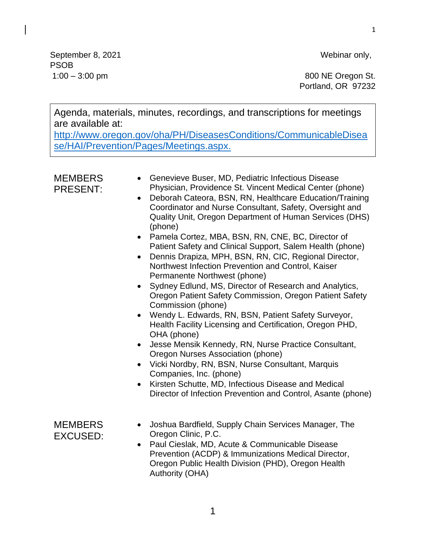1

September 8, 2021 Webinar only, PSOB

1:00 – 3:00 pm 800 NE Oregon St. Portland, OR 97232

Agenda, materials, minutes, recordings, and transcriptions for meetings are available at:

[http://www.oregon.gov/oha/PH/DiseasesConditions/CommunicableDisea](http://www.oregon.gov/oha/PH/DiseasesConditions/CommunicableDisease/HAI/Prevention/Pages/Meetings.aspx) [se/HAI/Prevention/Pages/Meetings.aspx.](http://www.oregon.gov/oha/PH/DiseasesConditions/CommunicableDisease/HAI/Prevention/Pages/Meetings.aspx)

| <b>MEMBERS</b><br><b>PRESENT:</b> | Genevieve Buser, MD, Pediatric Infectious Disease<br>$\bullet$<br>Physician, Providence St. Vincent Medical Center (phone)<br>Deborah Cateora, BSN, RN, Healthcare Education/Training<br>$\bullet$<br>Coordinator and Nurse Consultant, Safety, Oversight and<br>Quality Unit, Oregon Department of Human Services (DHS)<br>(phone)<br>• Pamela Cortez, MBA, BSN, RN, CNE, BC, Director of<br>Patient Safety and Clinical Support, Salem Health (phone)<br>Dennis Drapiza, MPH, BSN, RN, CIC, Regional Director,<br>$\bullet$<br>Northwest Infection Prevention and Control, Kaiser<br>Permanente Northwest (phone)<br>• Sydney Edlund, MS, Director of Research and Analytics,<br>Oregon Patient Safety Commission, Oregon Patient Safety<br>Commission (phone)<br>Wendy L. Edwards, RN, BSN, Patient Safety Surveyor,<br>$\bullet$<br>Health Facility Licensing and Certification, Oregon PHD,<br>OHA (phone)<br>Jesse Mensik Kennedy, RN, Nurse Practice Consultant,<br>$\bullet$<br>Oregon Nurses Association (phone)<br>Vicki Nordby, RN, BSN, Nurse Consultant, Marquis<br>$\bullet$<br>Companies, Inc. (phone)<br>Kirsten Schutte, MD, Infectious Disease and Medical<br>$\bullet$<br>Director of Infection Prevention and Control, Asante (phone) |
|-----------------------------------|-----------------------------------------------------------------------------------------------------------------------------------------------------------------------------------------------------------------------------------------------------------------------------------------------------------------------------------------------------------------------------------------------------------------------------------------------------------------------------------------------------------------------------------------------------------------------------------------------------------------------------------------------------------------------------------------------------------------------------------------------------------------------------------------------------------------------------------------------------------------------------------------------------------------------------------------------------------------------------------------------------------------------------------------------------------------------------------------------------------------------------------------------------------------------------------------------------------------------------------------------------------|
| <b>MEMBERS</b><br><b>EXCUSED:</b> | Joshua Bardfield, Supply Chain Services Manager, The<br>$\bullet$<br>Oregon Clinic, P.C.<br>Paul Cieslak, MD, Acute & Communicable Disease<br>$\bullet$<br>Prevention (ACDP) & Immunizations Medical Director,<br>Oregon Public Health Division (PHD), Oregon Health<br>Authority (OHA)                                                                                                                                                                                                                                                                                                                                                                                                                                                                                                                                                                                                                                                                                                                                                                                                                                                                                                                                                                   |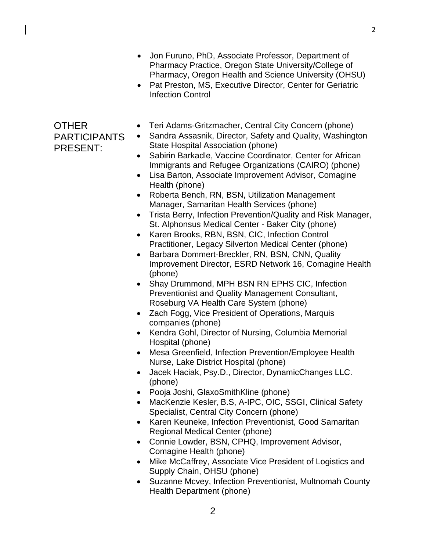- Jon Furuno, PhD, Associate Professor, Department of Pharmacy Practice, Oregon State University/College of Pharmacy, Oregon Health and Science University (OHSU)
- Pat Preston, MS, Executive Director, Center for Geriatric Infection Control

## OTHER PARTICIPANTS PRESENT:

- Teri Adams-Gritzmacher, Central City Concern (phone)
- Sandra Assasnik, Director, Safety and Quality, Washington State Hospital Association (phone)
- Sabirin Barkadle, Vaccine Coordinator, Center for African Immigrants and Refugee Organizations (CAIRO) (phone)
- Lisa Barton, Associate Improvement Advisor, Comagine Health (phone)
- Roberta Bench, RN, BSN, Utilization Management Manager, Samaritan Health Services (phone)
- Trista Berry, Infection Prevention/Quality and Risk Manager, St. Alphonsus Medical Center - Baker City (phone)
- Karen Brooks, RBN, BSN, CIC, Infection Control Practitioner, Legacy Silverton Medical Center (phone)
- Barbara Dommert-Breckler, RN, BSN, CNN, Quality Improvement Director, ESRD Network 16, Comagine Health (phone)
- Shay Drummond, MPH BSN RN EPHS CIC, Infection Preventionist and Quality Management Consultant, Roseburg VA Health Care System (phone)
- Zach Fogg, Vice President of Operations, Marquis companies (phone)
- Kendra Gohl, Director of Nursing, Columbia Memorial Hospital (phone)
- Mesa Greenfield, Infection Prevention/Employee Health Nurse, Lake District Hospital (phone)
- Jacek Haciak, Psy.D., Director, DynamicChanges LLC. (phone)
- Pooja Joshi, GlaxoSmithKline (phone)
- MacKenzie Kesler, B.S, A-IPC, OIC, SSGI, Clinical Safety Specialist, Central City Concern (phone)
- Karen Keuneke, Infection Preventionist, Good Samaritan Regional Medical Center (phone)
- Connie Lowder, BSN, CPHQ, Improvement Advisor, Comagine Health (phone)
- Mike McCaffrey, Associate Vice President of Logistics and Supply Chain, OHSU (phone)
- Suzanne Mcvey, Infection Preventionist, Multnomah County Health Department (phone)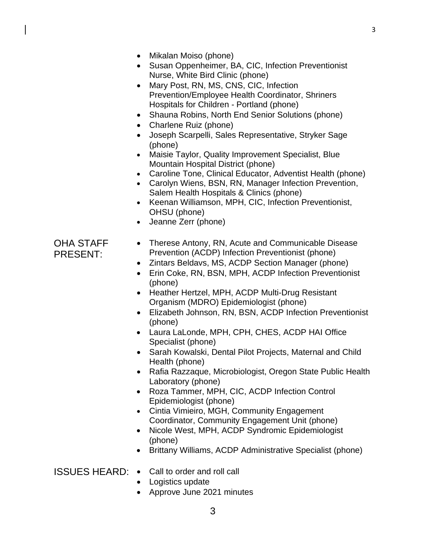- Mikalan Moiso (phone)
- Susan Oppenheimer, BA, CIC, Infection Preventionist Nurse, White Bird Clinic (phone)
- Mary Post, RN, MS, CNS, CIC, Infection Prevention/Employee Health Coordinator, Shriners Hospitals for Children - Portland (phone)
- Shauna Robins, North End Senior Solutions (phone)
- Charlene Ruiz (phone)
- Joseph Scarpelli, Sales Representative, Stryker Sage (phone)
- Maisie Taylor, Quality Improvement Specialist, Blue Mountain Hospital District (phone)
- Caroline Tone, Clinical Educator, Adventist Health (phone)
- Carolyn Wiens, BSN, RN, Manager Infection Prevention, Salem Health Hospitals & Clinics (phone)
- Keenan Williamson, MPH, CIC, Infection Preventionist, OHSU (phone)
- Jeanne Zerr (phone)

## OHA STAFF PRESENT:

- Therese Antony, RN, Acute and Communicable Disease Prevention (ACDP) Infection Preventionist (phone)
- Zintars Beldavs, MS, ACDP Section Manager (phone)
- Erin Coke, RN, BSN, MPH, ACDP Infection Preventionist (phone)
- Heather Hertzel, MPH, ACDP Multi-Drug Resistant Organism (MDRO) Epidemiologist (phone)
- Elizabeth Johnson, RN, BSN, ACDP Infection Preventionist (phone)
- Laura LaLonde, MPH, CPH, CHES, ACDP HAI Office Specialist (phone)
- Sarah Kowalski, Dental Pilot Projects, Maternal and Child Health (phone)
- Rafia Razzaque, Microbiologist, Oregon State Public Health Laboratory (phone)
- Roza Tammer, MPH, CIC, ACDP Infection Control Epidemiologist (phone)
- Cintia Vimieiro, MGH, Community Engagement Coordinator, Community Engagement Unit (phone)
- Nicole West, MPH, ACDP Syndromic Epidemiologist (phone)
- Brittany Williams, ACDP Administrative Specialist (phone)
- ISSUES HEARD: Call to order and roll call
	- Logistics update
	- Approve June 2021 minutes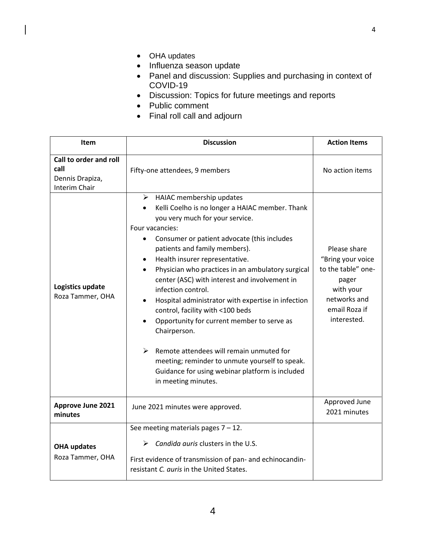- OHA updates
- Influenza season update
- Panel and discussion: Supplies and purchasing in context of COVID-19
- Discussion: Topics for future meetings and reports
- Public comment
- Final roll call and adjourn

| <b>Item</b>                                                               | <b>Discussion</b>                                                                                                                                                                                                                                                                                                                                                                                                                                                                                                                                                                                                                                                                                                                                    | <b>Action Items</b>                                                                                                           |
|---------------------------------------------------------------------------|------------------------------------------------------------------------------------------------------------------------------------------------------------------------------------------------------------------------------------------------------------------------------------------------------------------------------------------------------------------------------------------------------------------------------------------------------------------------------------------------------------------------------------------------------------------------------------------------------------------------------------------------------------------------------------------------------------------------------------------------------|-------------------------------------------------------------------------------------------------------------------------------|
| Call to order and roll<br>call<br>Dennis Drapiza,<br><b>Interim Chair</b> | Fifty-one attendees, 9 members                                                                                                                                                                                                                                                                                                                                                                                                                                                                                                                                                                                                                                                                                                                       | No action items                                                                                                               |
| Logistics update<br>Roza Tammer, OHA                                      | $\triangleright$ HAIAC membership updates<br>Kelli Coelho is no longer a HAIAC member. Thank<br>you very much for your service.<br>Four vacancies:<br>Consumer or patient advocate (this includes<br>patients and family members).<br>Health insurer representative.<br>Physician who practices in an ambulatory surgical<br>center (ASC) with interest and involvement in<br>infection control.<br>Hospital administrator with expertise in infection<br>control, facility with <100 beds<br>Opportunity for current member to serve as<br>Chairperson.<br>$\triangleright$<br>Remote attendees will remain unmuted for<br>meeting; reminder to unmute yourself to speak.<br>Guidance for using webinar platform is included<br>in meeting minutes. | Please share<br>"Bring your voice<br>to the table" one-<br>pager<br>with your<br>networks and<br>email Roza if<br>interested. |
| <b>Approve June 2021</b><br>minutes                                       | June 2021 minutes were approved.                                                                                                                                                                                                                                                                                                                                                                                                                                                                                                                                                                                                                                                                                                                     | Approved June<br>2021 minutes                                                                                                 |
|                                                                           | See meeting materials pages $7 - 12$ .                                                                                                                                                                                                                                                                                                                                                                                                                                                                                                                                                                                                                                                                                                               |                                                                                                                               |
| <b>OHA updates</b><br>Roza Tammer, OHA                                    | Candida auris clusters in the U.S.<br>➤<br>First evidence of transmission of pan- and echinocandin-<br>resistant C. auris in the United States.                                                                                                                                                                                                                                                                                                                                                                                                                                                                                                                                                                                                      |                                                                                                                               |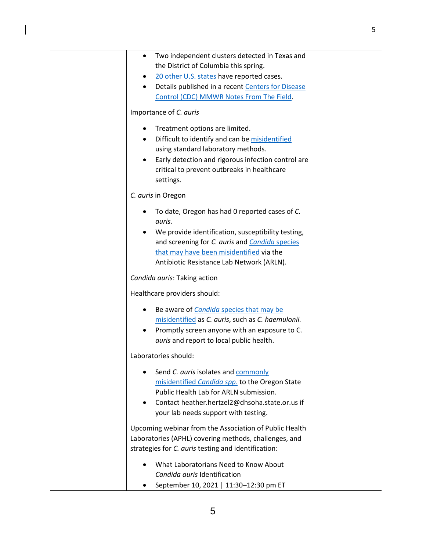| Two independent clusters detected in Texas and<br>٠<br>the District of Columbia this spring. |  |
|----------------------------------------------------------------------------------------------|--|
| 20 other U.S. states have reported cases.<br>٠                                               |  |
| Details published in a recent Centers for Disease<br>$\bullet$                               |  |
| Control (CDC) MMWR Notes From The Field.                                                     |  |
| Importance of C. auris                                                                       |  |
| Treatment options are limited.<br>٠                                                          |  |
| Difficult to identify and can be misidentified<br>$\bullet$                                  |  |
| using standard laboratory methods.                                                           |  |
| Early detection and rigorous infection control are<br>$\bullet$                              |  |
| critical to prevent outbreaks in healthcare<br>settings.                                     |  |
| C. auris in Oregon                                                                           |  |
|                                                                                              |  |
| To date, Oregon has had 0 reported cases of C.<br>٠                                          |  |
| auris.                                                                                       |  |
| We provide identification, susceptibility testing,                                           |  |
| and screening for C. auris and Candida species<br>that may have been misidentified via the   |  |
| Antibiotic Resistance Lab Network (ARLN).                                                    |  |
|                                                                                              |  |
| Candida auris: Taking action                                                                 |  |
| Healthcare providers should:                                                                 |  |
| Be aware of <i>Candida</i> species that may be                                               |  |
| misidentified as C. auris, such as C. haemulonii.                                            |  |
| Promptly screen anyone with an exposure to C.                                                |  |
| auris and report to local public health.                                                     |  |
| Laboratories should:                                                                         |  |
| Send C. auris isolates and commonly                                                          |  |
| misidentified Candida spp. to the Oregon State                                               |  |
| Public Health Lab for ARLN submission.                                                       |  |
| Contact heather.hertzel2@dhsoha.state.or.us if<br>$\bullet$                                  |  |
| your lab needs support with testing.                                                         |  |
| Upcoming webinar from the Association of Public Health                                       |  |
| Laboratories (APHL) covering methods, challenges, and                                        |  |
| strategies for C. auris testing and identification:                                          |  |
| What Laboratorians Need to Know About                                                        |  |
| Candida auris Identification                                                                 |  |
| September 10, 2021   11:30-12:30 pm ET                                                       |  |

 $\begin{array}{c} \hline \end{array}$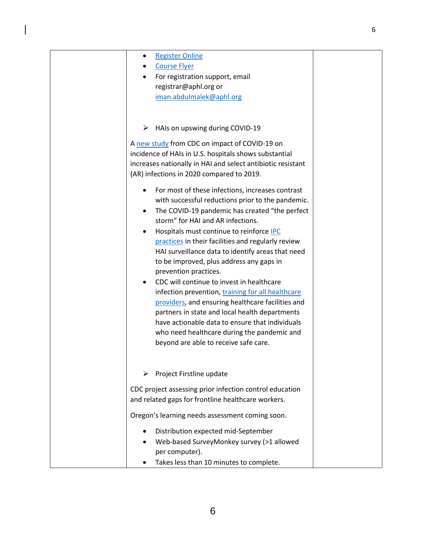| <b>Register Online</b><br>٠<br><b>Course Flyer</b><br>For registration support, email<br>registrar@aphl.org or<br>iman.abdulmalek@aphl.org                                                                                                                                                                                                                                                                                                                                                                                                                                                                                                                                                                                                                                                                                                                                                                                                                                                                                                                                 |
|----------------------------------------------------------------------------------------------------------------------------------------------------------------------------------------------------------------------------------------------------------------------------------------------------------------------------------------------------------------------------------------------------------------------------------------------------------------------------------------------------------------------------------------------------------------------------------------------------------------------------------------------------------------------------------------------------------------------------------------------------------------------------------------------------------------------------------------------------------------------------------------------------------------------------------------------------------------------------------------------------------------------------------------------------------------------------|
| $\triangleright$ HAIs on upswing during COVID-19<br>A new study from CDC on impact of COVID-19 on<br>incidence of HAIs in U.S. hospitals shows substantial<br>increases nationally in HAI and select antibiotic resistant<br>(AR) infections in 2020 compared to 2019.<br>For most of these infections, increases contrast<br>with successful reductions prior to the pandemic.<br>The COVID-19 pandemic has created "the perfect<br>$\bullet$<br>storm" for HAI and AR infections.<br>Hospitals must continue to reinforce <b>IPC</b><br>practices in their facilities and regularly review<br>HAI surveillance data to identify areas that need<br>to be improved, plus address any gaps in<br>prevention practices.<br>CDC will continue to invest in healthcare<br>infection prevention, training for all healthcare<br>providers, and ensuring healthcare facilities and<br>partners in state and local health departments<br>have actionable data to ensure that individuals<br>who need healthcare during the pandemic and<br>beyond are able to receive safe care. |
| Project Firstline update<br>CDC project assessing prior infection control education<br>and related gaps for frontline healthcare workers.<br>Oregon's learning needs assessment coming soon.<br>Distribution expected mid-September<br>Web-based SurveyMonkey survey (>1 allowed<br>per computer).                                                                                                                                                                                                                                                                                                                                                                                                                                                                                                                                                                                                                                                                                                                                                                         |
|                                                                                                                                                                                                                                                                                                                                                                                                                                                                                                                                                                                                                                                                                                                                                                                                                                                                                                                                                                                                                                                                            |

 $\overline{\phantom{a}}$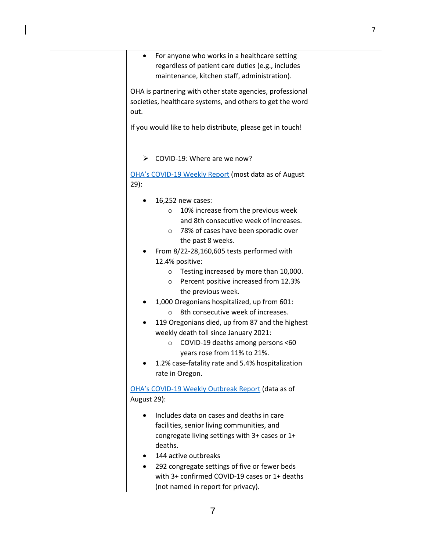| $\bullet$   | For anyone who works in a healthcare setting<br>regardless of patient care duties (e.g., includes<br>maintenance, kitchen staff, administration). |  |
|-------------|---------------------------------------------------------------------------------------------------------------------------------------------------|--|
|             | OHA is partnering with other state agencies, professional                                                                                         |  |
| out.        | societies, healthcare systems, and others to get the word                                                                                         |  |
|             | If you would like to help distribute, please get in touch!                                                                                        |  |
| ➤           | COVID-19: Where are we now?                                                                                                                       |  |
| $29$ :      | OHA's COVID-19 Weekly Report (most data as of August                                                                                              |  |
|             | 16,252 new cases:                                                                                                                                 |  |
|             | 10% increase from the previous week<br>$\circ$                                                                                                    |  |
|             | and 8th consecutive week of increases.                                                                                                            |  |
|             | o 78% of cases have been sporadic over<br>the past 8 weeks.                                                                                       |  |
|             | From 8/22-28,160,605 tests performed with                                                                                                         |  |
|             | 12.4% positive:                                                                                                                                   |  |
|             | Testing increased by more than 10,000.                                                                                                            |  |
|             | Percent positive increased from 12.3%<br>$\circ$<br>the previous week.                                                                            |  |
|             | 1,000 Oregonians hospitalized, up from 601:                                                                                                       |  |
|             | 8th consecutive week of increases.<br>$\Omega$                                                                                                    |  |
|             | 119 Oregonians died, up from 87 and the highest                                                                                                   |  |
|             | weekly death toll since January 2021:                                                                                                             |  |
|             | COVID-19 deaths among persons <60<br>$\circ$<br>years rose from 11% to 21%.                                                                       |  |
|             | 1.2% case-fatality rate and 5.4% hospitalization                                                                                                  |  |
|             | rate in Oregon.                                                                                                                                   |  |
|             | OHA's COVID-19 Weekly Outbreak Report (data as of                                                                                                 |  |
| August 29): |                                                                                                                                                   |  |
|             | Includes data on cases and deaths in care                                                                                                         |  |
|             | facilities, senior living communities, and                                                                                                        |  |
|             | congregate living settings with 3+ cases or 1+<br>deaths.                                                                                         |  |
|             | 144 active outbreaks                                                                                                                              |  |
|             | 292 congregate settings of five or fewer beds                                                                                                     |  |
|             | with 3+ confirmed COVID-19 cases or 1+ deaths                                                                                                     |  |
|             | (not named in report for privacy).                                                                                                                |  |

 $\begin{array}{c} \hline \end{array}$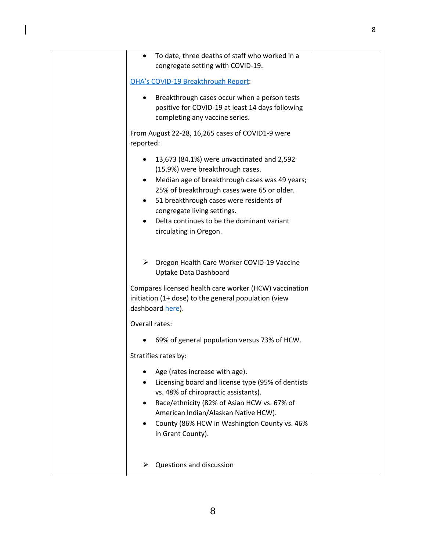| To date, three deaths of staff who worked in a<br>$\bullet$<br>congregate setting with COVID-19.                                                                                                                                                                                                                                                                         |  |
|--------------------------------------------------------------------------------------------------------------------------------------------------------------------------------------------------------------------------------------------------------------------------------------------------------------------------------------------------------------------------|--|
| <b>OHA's COVID-19 Breakthrough Report:</b>                                                                                                                                                                                                                                                                                                                               |  |
| Breakthrough cases occur when a person tests<br>positive for COVID-19 at least 14 days following<br>completing any vaccine series.                                                                                                                                                                                                                                       |  |
| From August 22-28, 16,265 cases of COVID1-9 were<br>reported:                                                                                                                                                                                                                                                                                                            |  |
| 13,673 (84.1%) were unvaccinated and 2,592<br>$\bullet$<br>(15.9%) were breakthrough cases.<br>Median age of breakthrough cases was 49 years;<br>$\bullet$<br>25% of breakthrough cases were 65 or older.<br>51 breakthrough cases were residents of<br>$\bullet$<br>congregate living settings.<br>Delta continues to be the dominant variant<br>circulating in Oregon. |  |
| > Oregon Health Care Worker COVID-19 Vaccine<br>Uptake Data Dashboard                                                                                                                                                                                                                                                                                                    |  |
| Compares licensed health care worker (HCW) vaccination<br>initiation (1+ dose) to the general population (view<br>dashboard here).                                                                                                                                                                                                                                       |  |
| Overall rates:                                                                                                                                                                                                                                                                                                                                                           |  |
| 69% of general population versus 73% of HCW.                                                                                                                                                                                                                                                                                                                             |  |
| Stratifies rates by:                                                                                                                                                                                                                                                                                                                                                     |  |
| Age (rates increase with age).<br>Licensing board and license type (95% of dentists<br>vs. 48% of chiropractic assistants).<br>Race/ethnicity (82% of Asian HCW vs. 67% of<br>American Indian/Alaskan Native HCW).<br>County (86% HCW in Washington County vs. 46%<br>$\bullet$<br>in Grant County).                                                                     |  |
| Questions and discussion                                                                                                                                                                                                                                                                                                                                                 |  |

 $\overline{\mathbf{I}}$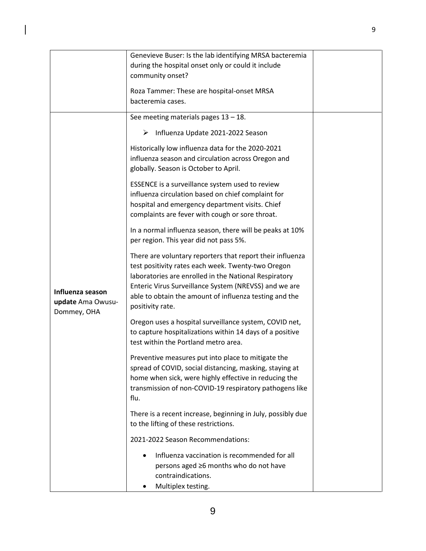|                                                      | Genevieve Buser: Is the lab identifying MRSA bacteremia<br>during the hospital onset only or could it include<br>community onset?                                                                                                                                                                               |  |
|------------------------------------------------------|-----------------------------------------------------------------------------------------------------------------------------------------------------------------------------------------------------------------------------------------------------------------------------------------------------------------|--|
|                                                      | Roza Tammer: These are hospital-onset MRSA<br>bacteremia cases.                                                                                                                                                                                                                                                 |  |
|                                                      | See meeting materials pages $13 - 18$ .                                                                                                                                                                                                                                                                         |  |
|                                                      | Influenza Update 2021-2022 Season<br>➤                                                                                                                                                                                                                                                                          |  |
|                                                      | Historically low influenza data for the 2020-2021<br>influenza season and circulation across Oregon and<br>globally. Season is October to April.                                                                                                                                                                |  |
|                                                      | ESSENCE is a surveillance system used to review<br>influenza circulation based on chief complaint for<br>hospital and emergency department visits. Chief<br>complaints are fever with cough or sore throat.                                                                                                     |  |
|                                                      | In a normal influenza season, there will be peaks at 10%<br>per region. This year did not pass 5%.                                                                                                                                                                                                              |  |
| Influenza season<br>update Ama Owusu-<br>Dommey, OHA | There are voluntary reporters that report their influenza<br>test positivity rates each week. Twenty-two Oregon<br>laboratories are enrolled in the National Respiratory<br>Enteric Virus Surveillance System (NREVSS) and we are<br>able to obtain the amount of influenza testing and the<br>positivity rate. |  |
|                                                      | Oregon uses a hospital surveillance system, COVID net,<br>to capture hospitalizations within 14 days of a positive<br>test within the Portland metro area.                                                                                                                                                      |  |
|                                                      | Preventive measures put into place to mitigate the<br>spread of COVID, social distancing, masking, staying at<br>home when sick, were highly effective in reducing the<br>transmission of non-COVID-19 respiratory pathogens like<br>flu.                                                                       |  |
|                                                      | There is a recent increase, beginning in July, possibly due<br>to the lifting of these restrictions.                                                                                                                                                                                                            |  |
|                                                      | 2021-2022 Season Recommendations:                                                                                                                                                                                                                                                                               |  |
|                                                      | Influenza vaccination is recommended for all<br>persons aged ≥6 months who do not have<br>contraindications.<br>Multiplex testing.<br>٠                                                                                                                                                                         |  |

 $\overline{\mathbf{I}}$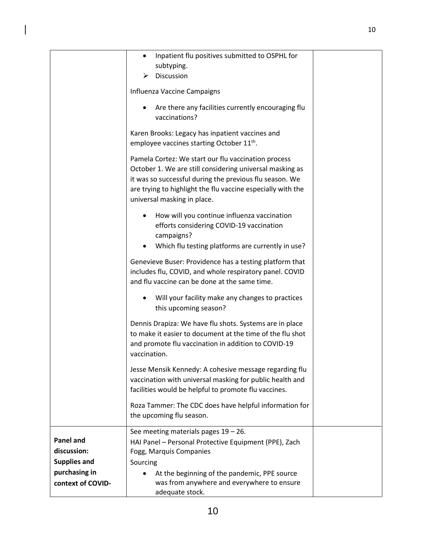|                                                        | Inpatient flu positives submitted to OSPHL for<br>$\bullet$<br>subtyping.<br>Discussion                                                                                                                                                                                  |  |
|--------------------------------------------------------|--------------------------------------------------------------------------------------------------------------------------------------------------------------------------------------------------------------------------------------------------------------------------|--|
|                                                        | Influenza Vaccine Campaigns                                                                                                                                                                                                                                              |  |
|                                                        | Are there any facilities currently encouraging flu<br>vaccinations?                                                                                                                                                                                                      |  |
|                                                        | Karen Brooks: Legacy has inpatient vaccines and<br>employee vaccines starting October 11 <sup>th</sup> .                                                                                                                                                                 |  |
|                                                        | Pamela Cortez: We start our flu vaccination process<br>October 1. We are still considering universal masking as<br>it was so successful during the previous flu season. We<br>are trying to highlight the flu vaccine especially with the<br>universal masking in place. |  |
|                                                        | How will you continue influenza vaccination<br>efforts considering COVID-19 vaccination<br>campaigns?                                                                                                                                                                    |  |
|                                                        | Which flu testing platforms are currently in use?<br>$\bullet$                                                                                                                                                                                                           |  |
|                                                        | Genevieve Buser: Providence has a testing platform that<br>includes flu, COVID, and whole respiratory panel. COVID<br>and flu vaccine can be done at the same time.                                                                                                      |  |
|                                                        | Will your facility make any changes to practices<br>this upcoming season?                                                                                                                                                                                                |  |
|                                                        | Dennis Drapiza: We have flu shots. Systems are in place<br>to make it easier to document at the time of the flu shot<br>and promote flu vaccination in addition to COVID-19<br>vaccination.                                                                              |  |
|                                                        | Jesse Mensik Kennedy: A cohesive message regarding flu<br>vaccination with universal masking for public health and<br>facilities would be helpful to promote flu vaccines.                                                                                               |  |
|                                                        | Roza Tammer: The CDC does have helpful information for<br>the upcoming flu season.                                                                                                                                                                                       |  |
| <b>Panel and</b><br>discussion:<br><b>Supplies and</b> | See meeting materials pages $19 - 26$ .<br>HAI Panel - Personal Protective Equipment (PPE), Zach<br>Fogg, Marquis Companies<br>Sourcing                                                                                                                                  |  |
| purchasing in<br>context of COVID-                     | At the beginning of the pandemic, PPE source<br>٠<br>was from anywhere and everywhere to ensure<br>adequate stock.                                                                                                                                                       |  |

 $\overline{\mathbf{I}}$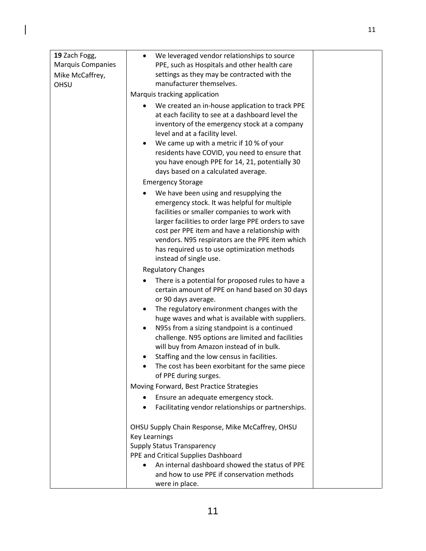| 19 Zach Fogg,            | We leveraged vendor relationships to source<br>$\bullet$                                                                                                                                                                                                                                                                                                                                                                                                                                                                        |  |
|--------------------------|---------------------------------------------------------------------------------------------------------------------------------------------------------------------------------------------------------------------------------------------------------------------------------------------------------------------------------------------------------------------------------------------------------------------------------------------------------------------------------------------------------------------------------|--|
| <b>Marquis Companies</b> | PPE, such as Hospitals and other health care                                                                                                                                                                                                                                                                                                                                                                                                                                                                                    |  |
| Mike McCaffrey,          | settings as they may be contracted with the<br>manufacturer themselves.                                                                                                                                                                                                                                                                                                                                                                                                                                                         |  |
| OHSU                     | Marquis tracking application                                                                                                                                                                                                                                                                                                                                                                                                                                                                                                    |  |
|                          | We created an in-house application to track PPE                                                                                                                                                                                                                                                                                                                                                                                                                                                                                 |  |
|                          | at each facility to see at a dashboard level the<br>inventory of the emergency stock at a company<br>level and at a facility level.                                                                                                                                                                                                                                                                                                                                                                                             |  |
|                          | We came up with a metric if 10 % of your<br>$\bullet$<br>residents have COVID, you need to ensure that<br>you have enough PPE for 14, 21, potentially 30<br>days based on a calculated average.                                                                                                                                                                                                                                                                                                                                 |  |
|                          | <b>Emergency Storage</b>                                                                                                                                                                                                                                                                                                                                                                                                                                                                                                        |  |
|                          | We have been using and resupplying the<br>emergency stock. It was helpful for multiple<br>facilities or smaller companies to work with<br>larger facilities to order large PPE orders to save<br>cost per PPE item and have a relationship with<br>vendors. N95 respirators are the PPE item which<br>has required us to use optimization methods<br>instead of single use.                                                                                                                                                     |  |
|                          | <b>Regulatory Changes</b>                                                                                                                                                                                                                                                                                                                                                                                                                                                                                                       |  |
|                          | There is a potential for proposed rules to have a<br>certain amount of PPE on hand based on 30 days<br>or 90 days average.<br>The regulatory environment changes with the<br>٠<br>huge waves and what is available with suppliers.<br>N95s from a sizing standpoint is a continued<br>$\bullet$<br>challenge. N95 options are limited and facilities<br>will buy from Amazon instead of in bulk.<br>Staffing and the low census in facilities.<br>٠<br>The cost has been exorbitant for the same piece<br>of PPE during surges. |  |
|                          | Moving Forward, Best Practice Strategies                                                                                                                                                                                                                                                                                                                                                                                                                                                                                        |  |
|                          | Ensure an adequate emergency stock.<br>Facilitating vendor relationships or partnerships.<br>$\bullet$                                                                                                                                                                                                                                                                                                                                                                                                                          |  |
|                          | OHSU Supply Chain Response, Mike McCaffrey, OHSU<br><b>Key Learnings</b><br><b>Supply Status Transparency</b><br>PPE and Critical Supplies Dashboard<br>An internal dashboard showed the status of PPE<br>and how to use PPE if conservation methods                                                                                                                                                                                                                                                                            |  |
|                          | were in place.                                                                                                                                                                                                                                                                                                                                                                                                                                                                                                                  |  |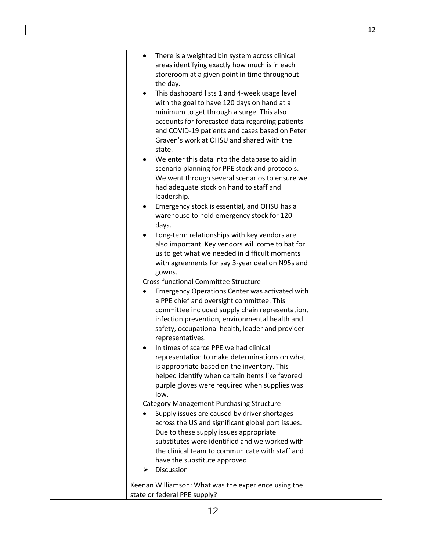|  | There is a weighted bin system across clinical<br>٠        |  |
|--|------------------------------------------------------------|--|
|  | areas identifying exactly how much is in each              |  |
|  | storeroom at a given point in time throughout              |  |
|  | the day.                                                   |  |
|  | This dashboard lists 1 and 4-week usage level<br>$\bullet$ |  |
|  | with the goal to have 120 days on hand at a                |  |
|  | minimum to get through a surge. This also                  |  |
|  | accounts for forecasted data regarding patients            |  |
|  | and COVID-19 patients and cases based on Peter             |  |
|  | Graven's work at OHSU and shared with the                  |  |
|  | state.                                                     |  |
|  | We enter this data into the database to aid in             |  |
|  | scenario planning for PPE stock and protocols.             |  |
|  | We went through several scenarios to ensure we             |  |
|  | had adequate stock on hand to staff and                    |  |
|  | leadership.                                                |  |
|  | Emergency stock is essential, and OHSU has a               |  |
|  | warehouse to hold emergency stock for 120                  |  |
|  | days.                                                      |  |
|  | Long-term relationships with key vendors are               |  |
|  | also important. Key vendors will come to bat for           |  |
|  | us to get what we needed in difficult moments              |  |
|  | with agreements for say 3-year deal on N95s and            |  |
|  | gowns.                                                     |  |
|  | <b>Cross-functional Committee Structure</b>                |  |
|  | Emergency Operations Center was activated with             |  |
|  | a PPE chief and oversight committee. This                  |  |
|  | committee included supply chain representation,            |  |
|  | infection prevention, environmental health and             |  |
|  | safety, occupational health, leader and provider           |  |
|  | representatives.                                           |  |
|  | In times of scarce PPE we had clinical                     |  |
|  | representation to make determinations on what              |  |
|  | is appropriate based on the inventory. This                |  |
|  | helped identify when certain items like favored            |  |
|  | purple gloves were required when supplies was              |  |
|  | low.                                                       |  |
|  | <b>Category Management Purchasing Structure</b>            |  |
|  | Supply issues are caused by driver shortages               |  |
|  | across the US and significant global port issues.          |  |
|  | Due to these supply issues appropriate                     |  |
|  | substitutes were identified and we worked with             |  |
|  | the clinical team to communicate with staff and            |  |
|  | have the substitute approved.                              |  |
|  | Discussion<br>➤                                            |  |
|  | Keenan Williamson: What was the experience using the       |  |
|  | state or federal PPE supply?                               |  |
|  |                                                            |  |

 $\begin{array}{c} \hline \end{array}$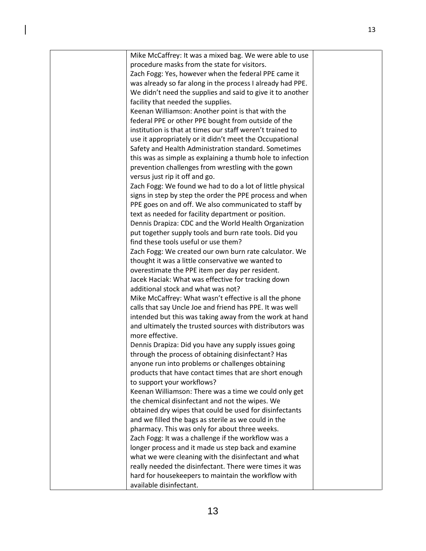| Mike McCaffrey: It was a mixed bag. We were able to use    |  |
|------------------------------------------------------------|--|
| procedure masks from the state for visitors.               |  |
| Zach Fogg: Yes, however when the federal PPE came it       |  |
| was already so far along in the process I already had PPE. |  |
| We didn't need the supplies and said to give it to another |  |
| facility that needed the supplies.                         |  |
| Keenan Williamson: Another point is that with the          |  |
| federal PPE or other PPE bought from outside of the        |  |
| institution is that at times our staff weren't trained to  |  |
| use it appropriately or it didn't meet the Occupational    |  |
| Safety and Health Administration standard. Sometimes       |  |
| this was as simple as explaining a thumb hole to infection |  |
| prevention challenges from wrestling with the gown         |  |
| versus just rip it off and go.                             |  |
| Zach Fogg: We found we had to do a lot of little physical  |  |
| signs in step by step the order the PPE process and when   |  |
| PPE goes on and off. We also communicated to staff by      |  |
| text as needed for facility department or position.        |  |
| Dennis Drapiza: CDC and the World Health Organization      |  |
| put together supply tools and burn rate tools. Did you     |  |
| find these tools useful or use them?                       |  |
| Zach Fogg: We created our own burn rate calculator. We     |  |
| thought it was a little conservative we wanted to          |  |
| overestimate the PPE item per day per resident.            |  |
| Jacek Haciak: What was effective for tracking down         |  |
| additional stock and what was not?                         |  |
| Mike McCaffrey: What wasn't effective is all the phone     |  |
| calls that say Uncle Joe and friend has PPE. It was well   |  |
| intended but this was taking away from the work at hand    |  |
| and ultimately the trusted sources with distributors was   |  |
| more effective.                                            |  |
| Dennis Drapiza: Did you have any supply issues going       |  |
| through the process of obtaining disinfectant? Has         |  |
| anyone run into problems or challenges obtaining           |  |
| products that have contact times that are short enough     |  |
| to support your workflows?                                 |  |
| Keenan Williamson: There was a time we could only get      |  |
| the chemical disinfectant and not the wipes. We            |  |
| obtained dry wipes that could be used for disinfectants    |  |
| and we filled the bags as sterile as we could in the       |  |
| pharmacy. This was only for about three weeks.             |  |
| Zach Fogg: It was a challenge if the workflow was a        |  |
| longer process and it made us step back and examine        |  |
| what we were cleaning with the disinfectant and what       |  |
| really needed the disinfectant. There were times it was    |  |
| hard for housekeepers to maintain the workflow with        |  |
| available disinfectant.                                    |  |

 $\begin{array}{c} \end{array}$